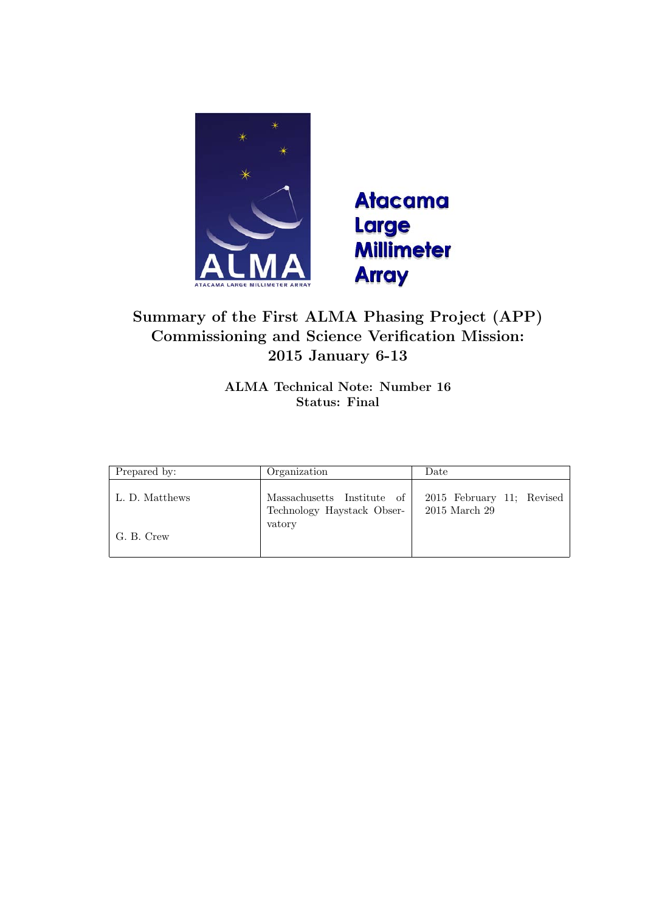



# Summary of the First ALMA Phasing Project (APP) Commissioning and Science Verification Mission: 2015 January 6-13

ALMA Technical Note: Number 16 Status: Final

| Prepared by:   | Organization                                             | Date                                       |
|----------------|----------------------------------------------------------|--------------------------------------------|
| L. D. Matthews | Massachusetts Institute of<br>Technology Haystack Obser- | 2015 February 11; Revised<br>2015 March 29 |
| G. B. Crew     | vatory                                                   |                                            |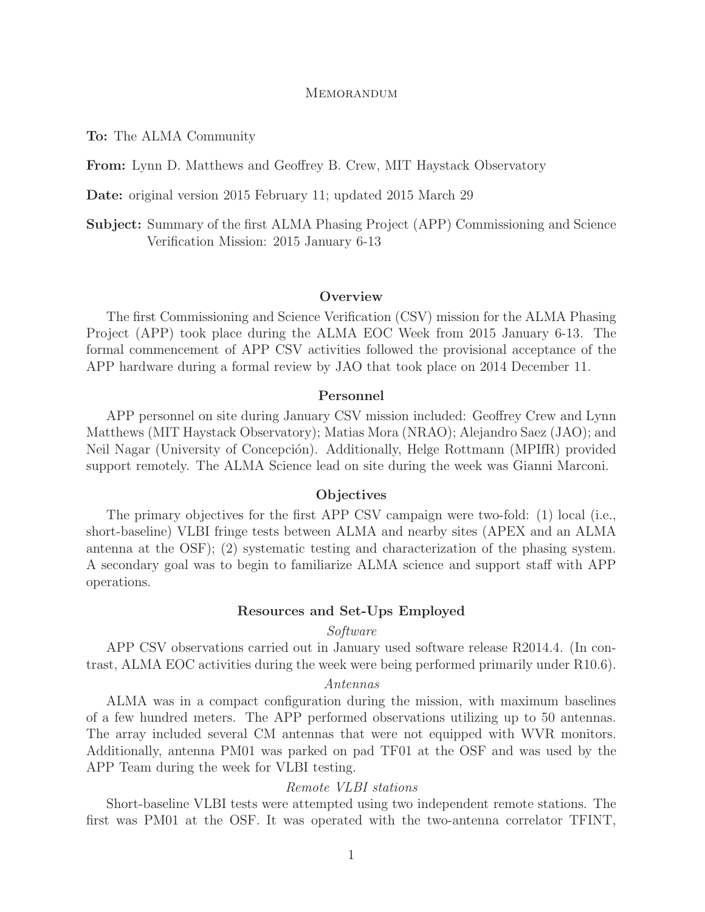### **MEMORANDUM**

To: The ALMA Community

From: Lynn D. Matthews and Geoffrey B. Crew, MIT Haystack Observatory

Date: original version 2015 February 11; updated 2015 March 29

Subject: Summary of the first ALMA Phasing Project (APP) Commissioning and Science Verification Mission: 2015 January 6-13

#### **Overview**

The first Commissioning and Science Verification (CSV) mission for the ALMA Phasing Project (APP) took place during the ALMA EOC Week from 2015 January 6-13. The formal commencement of APP CSV activities followed the provisional acceptance of the APP hardware during a formal review by JAO that took place on 2014 December 11.

## Personnel

APP personnel on site during January CSV mission included: Geoffrey Crew and Lynn Matthews (MIT Haystack Observatory); Matias Mora (NRAO); Alejandro Saez (JAO); and Neil Nagar (University of Concepción). Additionally, Helge Rottmann (MPIfR) provided support remotely. The ALMA Science lead on site during the week was Gianni Marconi.

## **Objectives**

The primary objectives for the first APP CSV campaign were two-fold: (1) local (i.e., short-baseline) VLBI fringe tests between ALMA and nearby sites (APEX and an ALMA antenna at the OSF); (2) systematic testing and characterization of the phasing system. A secondary goal was to begin to familiarize ALMA science and support staff with APP operations.

#### Resources and Set-Ups Employed

# Software

APP CSV observations carried out in January used software release R2014.4. (In contrast, ALMA EOC activities during the week were being performed primarily under R10.6).

## Antennas

ALMA was in a compact configuration during the mission, with maximum baselines of a few hundred meters. The APP performed observations utilizing up to 50 antennas. The array included several CM antennas that were not equipped with WVR monitors. Additionally, antenna PM01 was parked on pad TF01 at the OSF and was used by the APP Team during the week for VLBI testing.

## Remote VLBI stations

Short-baseline VLBI tests were attempted using two independent remote stations. The first was PM01 at the OSF. It was operated with the two-antenna correlator TFINT,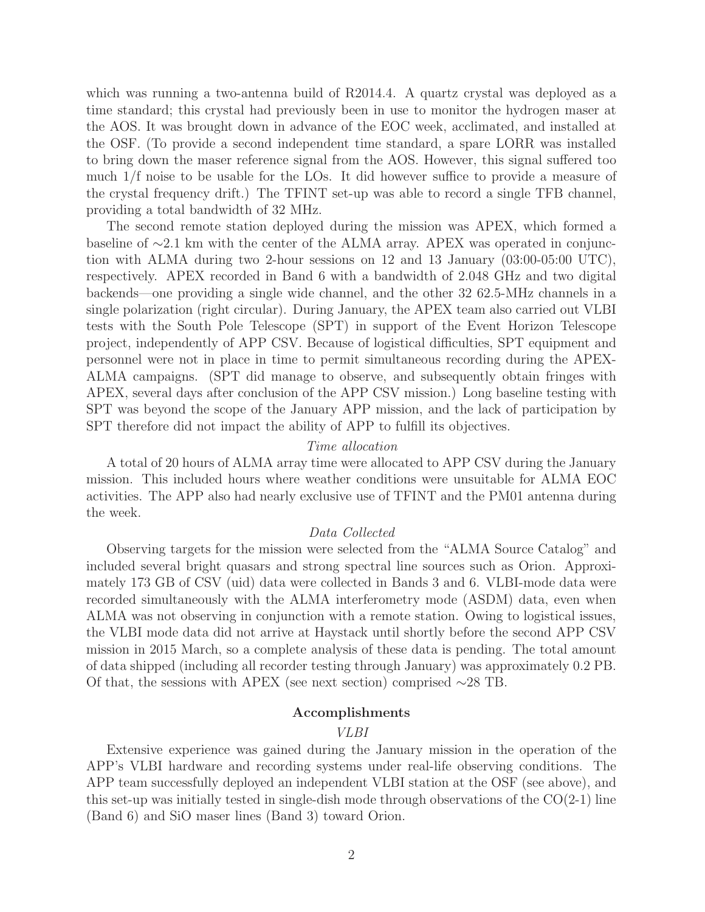which was running a two-antenna build of R2014.4. A quartz crystal was deployed as a time standard; this crystal had previously been in use to monitor the hydrogen maser at the AOS. It was brought down in advance of the EOC week, acclimated, and installed at the OSF. (To provide a second independent time standard, a spare LORR was installed to bring down the maser reference signal from the AOS. However, this signal suffered too much 1/f noise to be usable for the LOs. It did however suffice to provide a measure of the crystal frequency drift.) The TFINT set-up was able to record a single TFB channel, providing a total bandwidth of 32 MHz.

The second remote station deployed during the mission was APEX, which formed a baseline of ∼2.1 km with the center of the ALMA array. APEX was operated in conjunction with ALMA during two 2-hour sessions on 12 and 13 January (03:00-05:00 UTC), respectively. APEX recorded in Band 6 with a bandwidth of 2.048 GHz and two digital backends—one providing a single wide channel, and the other 32 62.5-MHz channels in a single polarization (right circular). During January, the APEX team also carried out VLBI tests with the South Pole Telescope (SPT) in support of the Event Horizon Telescope project, independently of APP CSV. Because of logistical difficulties, SPT equipment and personnel were not in place in time to permit simultaneous recording during the APEX-ALMA campaigns. (SPT did manage to observe, and subsequently obtain fringes with APEX, several days after conclusion of the APP CSV mission.) Long baseline testing with SPT was beyond the scope of the January APP mission, and the lack of participation by SPT therefore did not impact the ability of APP to fulfill its objectives.

# Time allocation

A total of 20 hours of ALMA array time were allocated to APP CSV during the January mission. This included hours where weather conditions were unsuitable for ALMA EOC activities. The APP also had nearly exclusive use of TFINT and the PM01 antenna during the week.

#### Data Collected

Observing targets for the mission were selected from the "ALMA Source Catalog" and included several bright quasars and strong spectral line sources such as Orion. Approximately 173 GB of CSV (uid) data were collected in Bands 3 and 6. VLBI-mode data were recorded simultaneously with the ALMA interferometry mode (ASDM) data, even when ALMA was not observing in conjunction with a remote station. Owing to logistical issues, the VLBI mode data did not arrive at Haystack until shortly before the second APP CSV mission in 2015 March, so a complete analysis of these data is pending. The total amount of data shipped (including all recorder testing through January) was approximately 0.2 PB. Of that, the sessions with APEX (see next section) comprised ∼28 TB.

#### Accomplishments

# VLBI

Extensive experience was gained during the January mission in the operation of the APP's VLBI hardware and recording systems under real-life observing conditions. The APP team successfully deployed an independent VLBI station at the OSF (see above), and this set-up was initially tested in single-dish mode through observations of the  $CO(2-1)$  line (Band 6) and SiO maser lines (Band 3) toward Orion.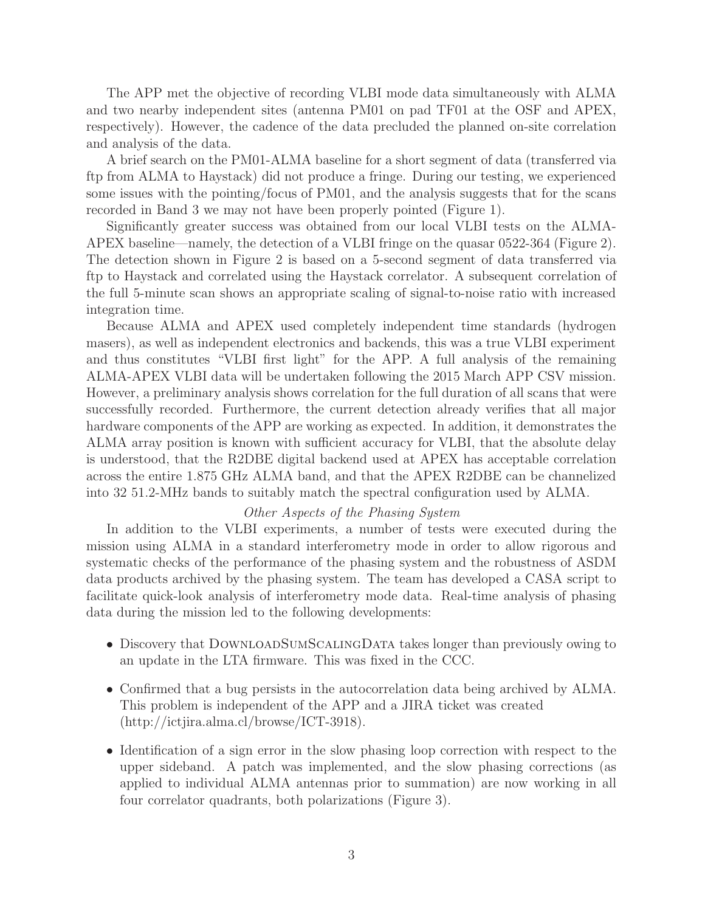The APP met the objective of recording VLBI mode data simultaneously with ALMA and two nearby independent sites (antenna PM01 on pad TF01 at the OSF and APEX, respectively). However, the cadence of the data precluded the planned on-site correlation and analysis of the data.

A brief search on the PM01-ALMA baseline for a short segment of data (transferred via ftp from ALMA to Haystack) did not produce a fringe. During our testing, we experienced some issues with the pointing/focus of PM01, and the analysis suggests that for the scans recorded in Band 3 we may not have been properly pointed (Figure 1).

Significantly greater success was obtained from our local VLBI tests on the ALMA-APEX baseline—namely, the detection of a VLBI fringe on the quasar 0522-364 (Figure 2). The detection shown in Figure 2 is based on a 5-second segment of data transferred via ftp to Haystack and correlated using the Haystack correlator. A subsequent correlation of the full 5-minute scan shows an appropriate scaling of signal-to-noise ratio with increased integration time.

Because ALMA and APEX used completely independent time standards (hydrogen masers), as well as independent electronics and backends, this was a true VLBI experiment and thus constitutes "VLBI first light" for the APP. A full analysis of the remaining ALMA-APEX VLBI data will be undertaken following the 2015 March APP CSV mission. However, a preliminary analysis shows correlation for the full duration of all scans that were successfully recorded. Furthermore, the current detection already verifies that all major hardware components of the APP are working as expected. In addition, it demonstrates the ALMA array position is known with sufficient accuracy for VLBI, that the absolute delay is understood, that the R2DBE digital backend used at APEX has acceptable correlation across the entire 1.875 GHz ALMA band, and that the APEX R2DBE can be channelized into 32 51.2-MHz bands to suitably match the spectral configuration used by ALMA.

# Other Aspects of the Phasing System

In addition to the VLBI experiments, a number of tests were executed during the mission using ALMA in a standard interferometry mode in order to allow rigorous and systematic checks of the performance of the phasing system and the robustness of ASDM data products archived by the phasing system. The team has developed a CASA script to facilitate quick-look analysis of interferometry mode data. Real-time analysis of phasing data during the mission led to the following developments:

- Discovery that DOWNLOADSUMSCALINGDATA takes longer than previously owing to an update in the LTA firmware. This was fixed in the CCC.
- Confirmed that a bug persists in the autocorrelation data being archived by ALMA. This problem is independent of the APP and a JIRA ticket was created (http://ictjira.alma.cl/browse/ICT-3918).
- Identification of a sign error in the slow phasing loop correction with respect to the upper sideband. A patch was implemented, and the slow phasing corrections (as applied to individual ALMA antennas prior to summation) are now working in all four correlator quadrants, both polarizations (Figure 3).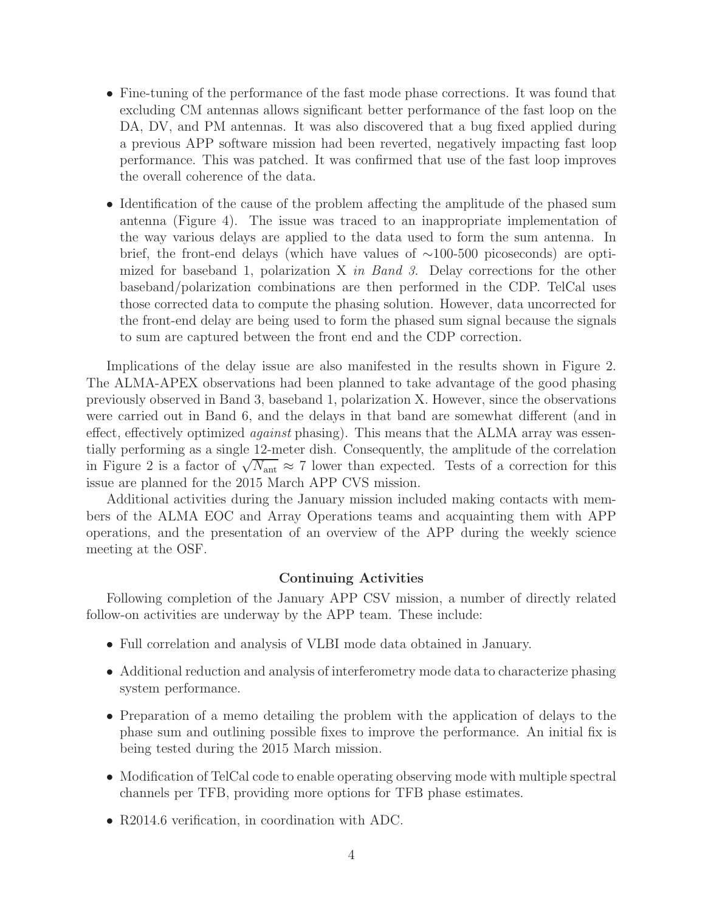- Fine-tuning of the performance of the fast mode phase corrections. It was found that excluding CM antennas allows significant better performance of the fast loop on the DA, DV, and PM antennas. It was also discovered that a bug fixed applied during a previous APP software mission had been reverted, negatively impacting fast loop performance. This was patched. It was confirmed that use of the fast loop improves the overall coherence of the data.
- Identification of the cause of the problem affecting the amplitude of the phased sum antenna (Figure 4). The issue was traced to an inappropriate implementation of the way various delays are applied to the data used to form the sum antenna. In brief, the front-end delays (which have values of ∼100-500 picoseconds) are optimized for baseband 1, polarization  $X$  in Band 3. Delay corrections for the other baseband/polarization combinations are then performed in the CDP. TelCal uses those corrected data to compute the phasing solution. However, data uncorrected for the front-end delay are being used to form the phased sum signal because the signals to sum are captured between the front end and the CDP correction.

Implications of the delay issue are also manifested in the results shown in Figure 2. The ALMA-APEX observations had been planned to take advantage of the good phasing previously observed in Band 3, baseband 1, polarization X. However, since the observations were carried out in Band 6, and the delays in that band are somewhat different (and in effect, effectively optimized against phasing). This means that the ALMA array was essentially performing as a single 12-meter dish. Consequently, the amplitude of the correlation in Figure 2 is a factor of  $\sqrt{N_{\text{ant}}} \approx 7$  lower than expected. Tests of a correction for this issue are planned for the 2015 March APP CVS mission.

Additional activities during the January mission included making contacts with members of the ALMA EOC and Array Operations teams and acquainting them with APP operations, and the presentation of an overview of the APP during the weekly science meeting at the OSF.

# Continuing Activities

Following completion of the January APP CSV mission, a number of directly related follow-on activities are underway by the APP team. These include:

- Full correlation and analysis of VLBI mode data obtained in January.
- Additional reduction and analysis of interferometry mode data to characterize phasing system performance.
- Preparation of a memo detailing the problem with the application of delays to the phase sum and outlining possible fixes to improve the performance. An initial fix is being tested during the 2015 March mission.
- Modification of TelCal code to enable operating observing mode with multiple spectral channels per TFB, providing more options for TFB phase estimates.
- R2014.6 verification, in coordination with ADC.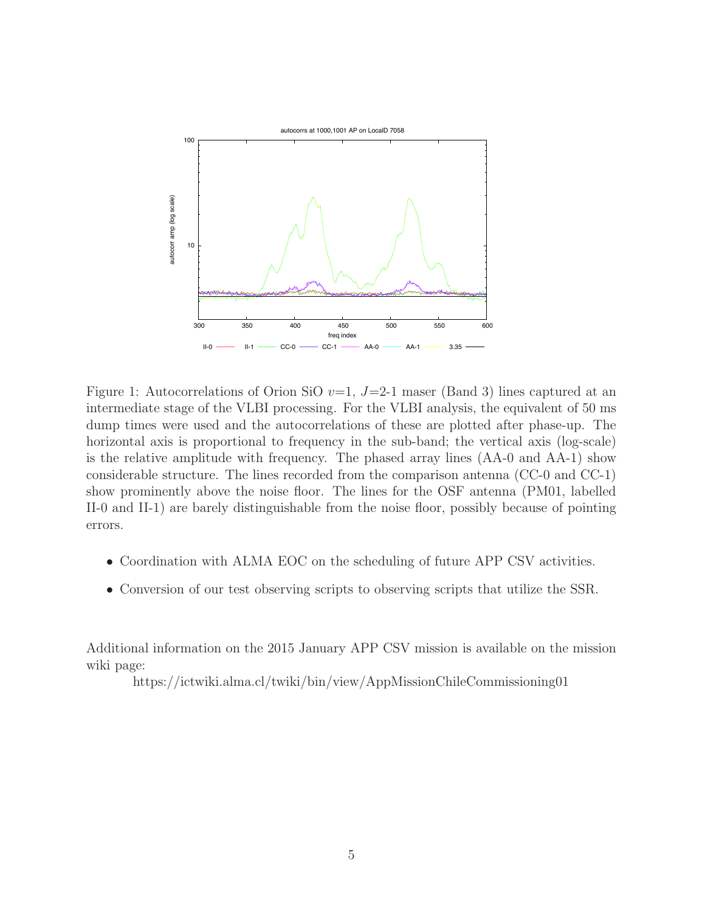

Figure 1: Autocorrelations of Orion SiO  $v=1$ , J=2-1 maser (Band 3) lines captured at an intermediate stage of the VLBI processing. For the VLBI analysis, the equivalent of 50 ms dump times were used and the autocorrelations of these are plotted after phase-up. The horizontal axis is proportional to frequency in the sub-band; the vertical axis (log-scale) is the relative amplitude with frequency. The phased array lines (AA-0 and AA-1) show considerable structure. The lines recorded from the comparison antenna (CC-0 and CC-1) show prominently above the noise floor. The lines for the OSF antenna (PM01, labelled II-0 and II-1) are barely distinguishable from the noise floor, possibly because of pointing errors.

- Coordination with ALMA EOC on the scheduling of future APP CSV activities.
- Conversion of our test observing scripts to observing scripts that utilize the SSR.

Additional information on the 2015 January APP CSV mission is available on the mission wiki page:

https://ictwiki.alma.cl/twiki/bin/view/AppMissionChileCommissioning01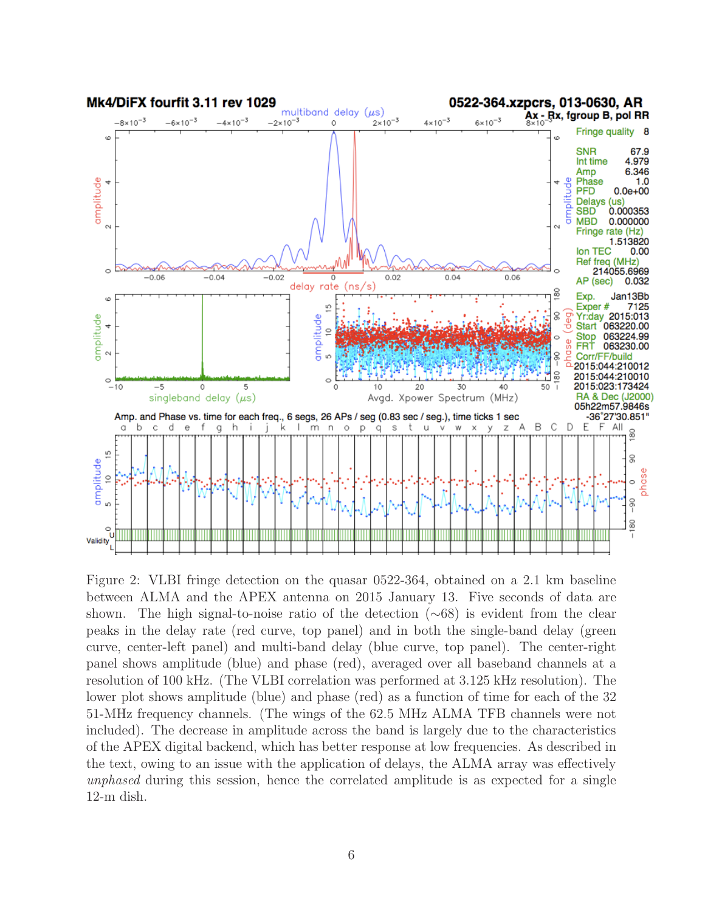

Figure 2: VLBI fringe detection on the quasar 0522-364, obtained on a 2.1 km baseline between ALMA and the APEX antenna on 2015 January 13. Five seconds of data are shown. The high signal-to-noise ratio of the detection (∼68) is evident from the clear peaks in the delay rate (red curve, top panel) and in both the single-band delay (green curve, center-left panel) and multi-band delay (blue curve, top panel). The center-right panel shows amplitude (blue) and phase (red), averaged over all baseband channels at a resolution of 100 kHz. (The VLBI correlation was performed at 3.125 kHz resolution). The lower plot shows amplitude (blue) and phase (red) as a function of time for each of the 32 51-MHz frequency channels. (The wings of the 62.5 MHz ALMA TFB channels were not included). The decrease in amplitude across the band is largely due to the characteristics of the APEX digital backend, which has better response at low frequencies. As described in the text, owing to an issue with the application of delays, the ALMA array was effectively unphased during this session, hence the correlated amplitude is as expected for a single 12-m dish.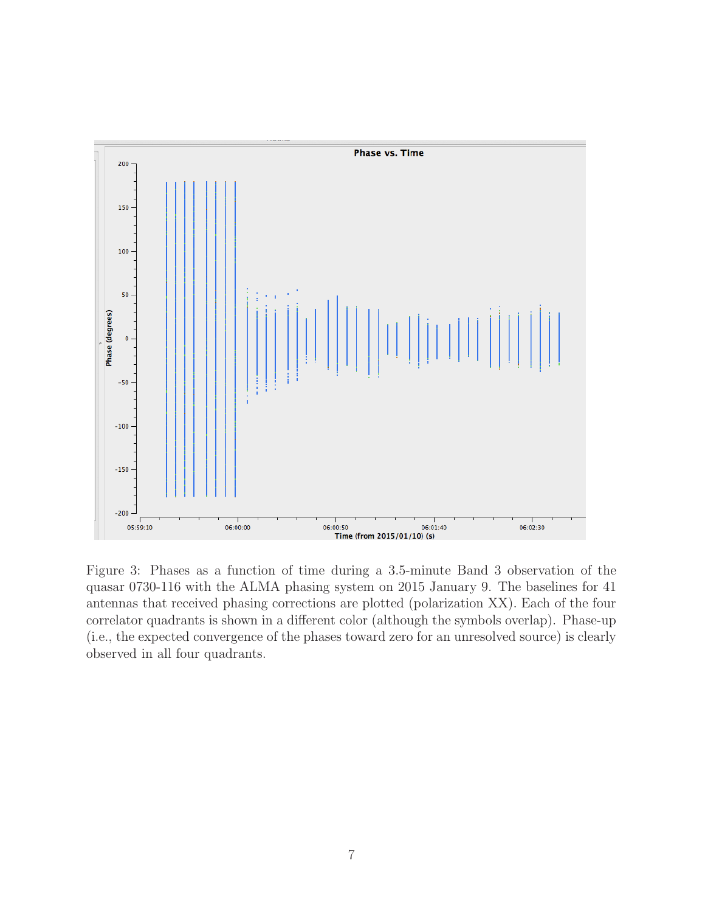

Figure 3: Phases as a function of time during a 3.5-minute Band 3 observation of the quasar 0730-116 with the ALMA phasing system on 2015 January 9. The baselines for 41 antennas that received phasing corrections are plotted (polarization XX). Each of the four correlator quadrants is shown in a different color (although the symbols overlap). Phase-up (i.e., the expected convergence of the phases toward zero for an unresolved source) is clearly observed in all four quadrants.